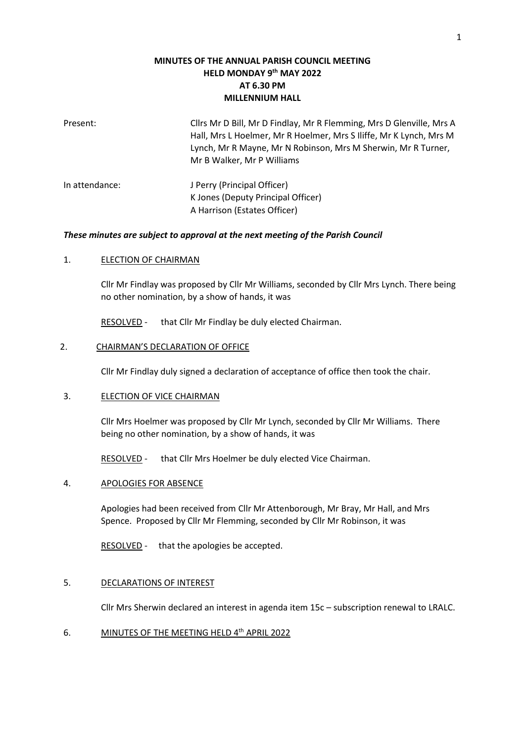# **MINUTES OF THE ANNUAL PARISH COUNCIL MEETING HELD MONDAY 9 th MAY 2022 AT 6.30 PM MILLENNIUM HALL**

| Present:       | Cllrs Mr D Bill, Mr D Findlay, Mr R Flemming, Mrs D Glenville, Mrs A<br>Hall, Mrs L Hoelmer, Mr R Hoelmer, Mrs S Iliffe, Mr K Lynch, Mrs M<br>Lynch, Mr R Mayne, Mr N Robinson, Mrs M Sherwin, Mr R Turner,<br>Mr B Walker, Mr P Williams |
|----------------|-------------------------------------------------------------------------------------------------------------------------------------------------------------------------------------------------------------------------------------------|
| In attendance: | J Perry (Principal Officer)<br>K Jones (Deputy Principal Officer)<br>A Harrison (Estates Officer)                                                                                                                                         |

#### *These minutes are subject to approval at the next meeting of the Parish Council*

#### 1. **ELECTION OF CHAIRMAN**

Cllr Mr Findlay was proposed by Cllr Mr Williams, seconded by Cllr Mrs Lynch. There being no other nomination, by a show of hands, it was

RESOLVED - that Cllr Mr Findlay be duly elected Chairman.

#### 2. CHAIRMAN'S DECLARATION OF OFFICE

Cllr Mr Findlay duly signed a declaration of acceptance of office then took the chair.

#### 3. ELECTION OF VICE CHAIRMAN

Cllr Mrs Hoelmer was proposed by Cllr Mr Lynch, seconded by Cllr Mr Williams. There being no other nomination, by a show of hands, it was

RESOLVED - that Cllr Mrs Hoelmer be duly elected Vice Chairman.

#### 4. APOLOGIES FOR ABSENCE

Apologies had been received from Cllr Mr Attenborough, Mr Bray, Mr Hall, and Mrs Spence. Proposed by Cllr Mr Flemming, seconded by Cllr Mr Robinson, it was

RESOLVED - that the apologies be accepted.

#### 5. DECLARATIONS OF INTEREST

Cllr Mrs Sherwin declared an interest in agenda item 15c – subscription renewal to LRALC.

6. MINUTES OF THE MEETING HELD 4<sup>th</sup> APRIL 2022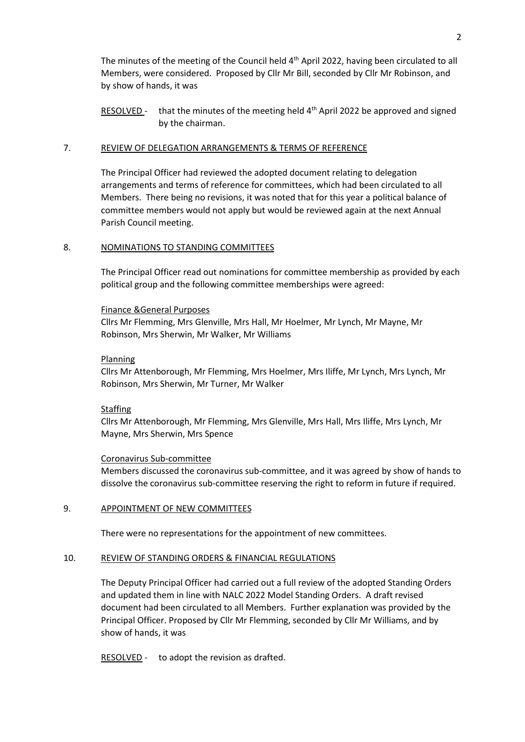The minutes of the meeting of the Council held 4<sup>th</sup> April 2022, having been circulated to all Members, were considered. Proposed by Cllr Mr Bill, seconded by Cllr Mr Robinson, and by show of hands, it was

RESOLVED - that the minutes of the meeting held 4<sup>th</sup> April 2022 be approved and signed by the chairman.

#### 7. REVIEW OF DELEGATION ARRANGEMENTS & TERMS OF REFERENCE

The Principal Officer had reviewed the adopted document relating to delegation arrangements and terms of reference for committees, which had been circulated to all Members. There being no revisions, it was noted that for this year a political balance of committee members would not apply but would be reviewed again at the next Annual Parish Council meeting.

#### 8. NOMINATIONS TO STANDING COMMITTEES

The Principal Officer read out nominations for committee membership as provided by each political group and the following committee memberships were agreed:

#### Finance &General Purposes

Cllrs Mr Flemming, Mrs Glenville, Mrs Hall, Mr Hoelmer, Mr Lynch, Mr Mayne, Mr Robinson, Mrs Sherwin, Mr Walker, Mr Williams

#### Planning

Cllrs Mr Attenborough, Mr Flemming, Mrs Hoelmer, Mrs Iliffe, Mr Lynch, Mrs Lynch, Mr Robinson, Mrs Sherwin, Mr Turner, Mr Walker

#### **Staffing**

Cllrs Mr Attenborough, Mr Flemming, Mrs Glenville, Mrs Hall, Mrs Iliffe, Mrs Lynch, Mr Mayne, Mrs Sherwin, Mrs Spence

#### Coronavirus Sub-committee

Members discussed the coronavirus sub-committee, and it was agreed by show of hands to dissolve the coronavirus sub-committee reserving the right to reform in future if required.

## 9. APPOINTMENT OF NEW COMMITTEES

There were no representations for the appointment of new committees.

#### 10. REVIEW OF STANDING ORDERS & FINANCIAL REGULATIONS

The Deputy Principal Officer had carried out a full review of the adopted Standing Orders and updated them in line with NALC 2022 Model Standing Orders. A draft revised document had been circulated to all Members. Further explanation was provided by the Principal Officer. Proposed by Cllr Mr Flemming, seconded by Cllr Mr Williams, and by show of hands, it was

RESOLVED - to adopt the revision as drafted.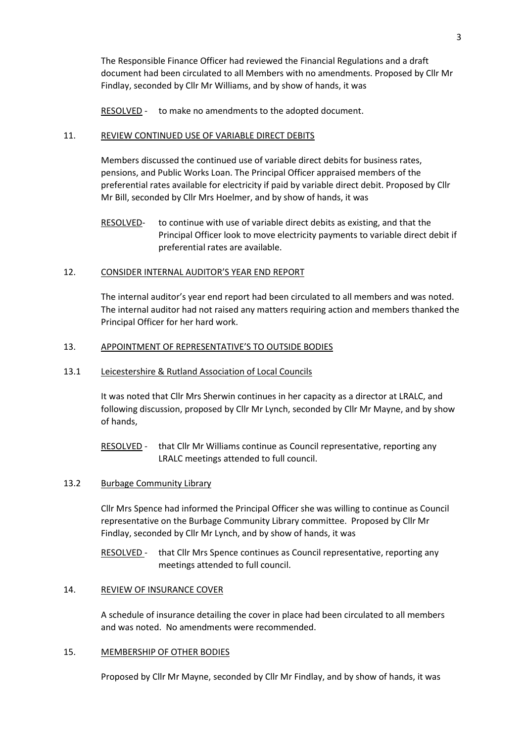The Responsible Finance Officer had reviewed the Financial Regulations and a draft document had been circulated to all Members with no amendments. Proposed by Cllr Mr Findlay, seconded by Cllr Mr Williams, and by show of hands, it was

RESOLVED - to make no amendments to the adopted document.

# 11. REVIEW CONTINUED USE OF VARIABLE DIRECT DEBITS

Members discussed the continued use of variable direct debits for business rates, pensions, and Public Works Loan. The Principal Officer appraised members of the preferential rates available for electricity if paid by variable direct debit. Proposed by Cllr Mr Bill, seconded by Cllr Mrs Hoelmer, and by show of hands, it was

# 12. CONSIDER INTERNAL AUDITOR'S YEAR END REPORT

The internal auditor's year end report had been circulated to all members and was noted. The internal auditor had not raised any matters requiring action and members thanked the Principal Officer for her hard work.

# 13. APPOINTMENT OF REPRESENTATIVE'S TO OUTSIDE BODIES

# 13.1 Leicestershire & Rutland Association of Local Councils

It was noted that Cllr Mrs Sherwin continues in her capacity as a director at LRALC, and following discussion, proposed by Cllr Mr Lynch, seconded by Cllr Mr Mayne, and by show of hands,

RESOLVED - that Cllr Mr Williams continue as Council representative, reporting any LRALC meetings attended to full council.

## 13.2 Burbage Community Library

Cllr Mrs Spence had informed the Principal Officer she was willing to continue as Council representative on the Burbage Community Library committee. Proposed by Cllr Mr Findlay, seconded by Cllr Mr Lynch, and by show of hands, it was

RESOLVED - that Cllr Mrs Spence continues as Council representative, reporting any meetings attended to full council.

## 14. REVIEW OF INSURANCE COVER

A schedule of insurance detailing the cover in place had been circulated to all members and was noted. No amendments were recommended.

## 15. MEMBERSHIP OF OTHER BODIES

Proposed by Cllr Mr Mayne, seconded by Cllr Mr Findlay, and by show of hands, it was

RESOLVED- to continue with use of variable direct debits as existing, and that the Principal Officer look to move electricity payments to variable direct debit if preferential rates are available.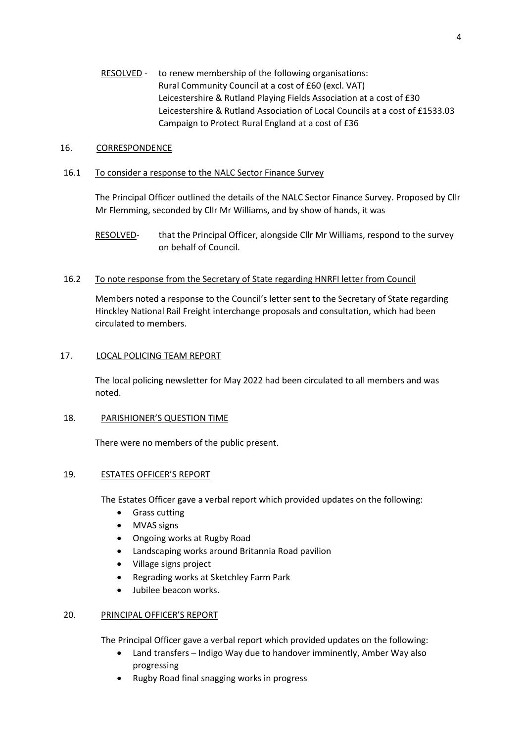RESOLVED - to renew membership of the following organisations: Rural Community Council at a cost of £60 (excl. VAT) Leicestershire & Rutland Playing Fields Association at a cost of £30 Leicestershire & Rutland Association of Local Councils at a cost of £1533.03 Campaign to Protect Rural England at a cost of £36

## 16. CORRESPONDENCE

# 16.1 To consider a response to the NALC Sector Finance Survey

The Principal Officer outlined the details of the NALC Sector Finance Survey. Proposed by Cllr Mr Flemming, seconded by Cllr Mr Williams, and by show of hands, it was

RESOLVED- that the Principal Officer, alongside Cllr Mr Williams, respond to the survey on behalf of Council.

# 16.2 To note response from the Secretary of State regarding HNRFI letter from Council

Members noted a response to the Council's letter sent to the Secretary of State regarding Hinckley National Rail Freight interchange proposals and consultation, which had been circulated to members.

# 17. LOCAL POLICING TEAM REPORT

The local policing newsletter for May 2022 had been circulated to all members and was noted.

## 18. PARISHIONER'S QUESTION TIME

There were no members of the public present.

# 19. ESTATES OFFICER'S REPORT

The Estates Officer gave a verbal report which provided updates on the following:

- Grass cutting
- MVAS signs
- Ongoing works at Rugby Road
- Landscaping works around Britannia Road pavilion
- Village signs project
- Regrading works at Sketchley Farm Park
- Jubilee beacon works.

## 20. PRINCIPAL OFFICER'S REPORT

The Principal Officer gave a verbal report which provided updates on the following:

- Land transfers Indigo Way due to handover imminently, Amber Way also progressing
- Rugby Road final snagging works in progress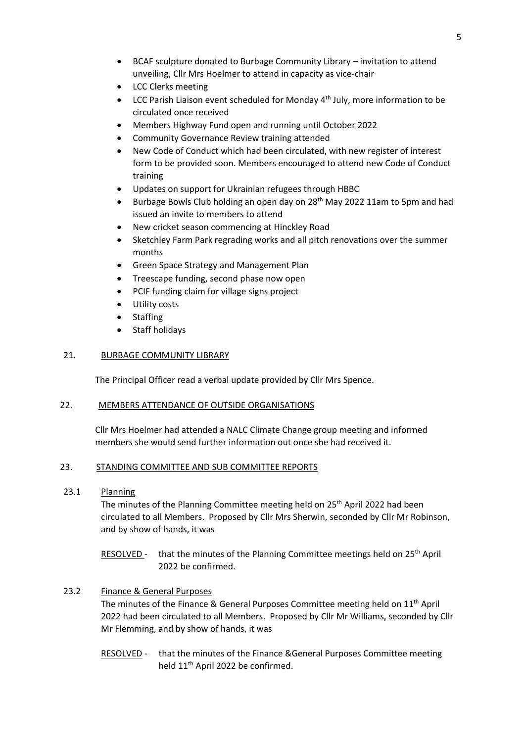- BCAF sculpture donated to Burbage Community Library invitation to attend unveiling, Cllr Mrs Hoelmer to attend in capacity as vice-chair
- LCC Clerks meeting
- LCC Parish Liaison event scheduled for Monday  $4<sup>th</sup>$  July, more information to be circulated once received
- Members Highway Fund open and running until October 2022
- Community Governance Review training attended
- New Code of Conduct which had been circulated, with new register of interest form to be provided soon. Members encouraged to attend new Code of Conduct training
- Updates on support for Ukrainian refugees through HBBC
- Burbage Bowls Club holding an open day on 28<sup>th</sup> May 2022 11am to 5pm and had issued an invite to members to attend
- New cricket season commencing at Hinckley Road
- Sketchley Farm Park regrading works and all pitch renovations over the summer months
- Green Space Strategy and Management Plan
- Treescape funding, second phase now open
- PCIF funding claim for village signs project
- Utility costs
- **Staffing**
- Staff holidays

## 21. BURBAGE COMMUNITY LIBRARY

The Principal Officer read a verbal update provided by Cllr Mrs Spence.

## 22. MEMBERS ATTENDANCE OF OUTSIDE ORGANISATIONS

Cllr Mrs Hoelmer had attended a NALC Climate Change group meeting and informed members she would send further information out once she had received it.

## 23. STANDING COMMITTEE AND SUB COMMITTEE REPORTS

23.1 Planning

The minutes of the Planning Committee meeting held on 25<sup>th</sup> April 2022 had been circulated to all Members. Proposed by Cllr Mrs Sherwin, seconded by Cllr Mr Robinson, and by show of hands, it was

RESOLVED - that the minutes of the Planning Committee meetings held on  $25<sup>th</sup>$  April 2022 be confirmed.

## 23.2 Finance & General Purposes

The minutes of the Finance & General Purposes Committee meeting held on 11<sup>th</sup> April 2022 had been circulated to all Members. Proposed by Cllr Mr Williams, seconded by Cllr Mr Flemming, and by show of hands, it was

RESOLVED - that the minutes of the Finance &General Purposes Committee meeting held 11<sup>th</sup> April 2022 be confirmed.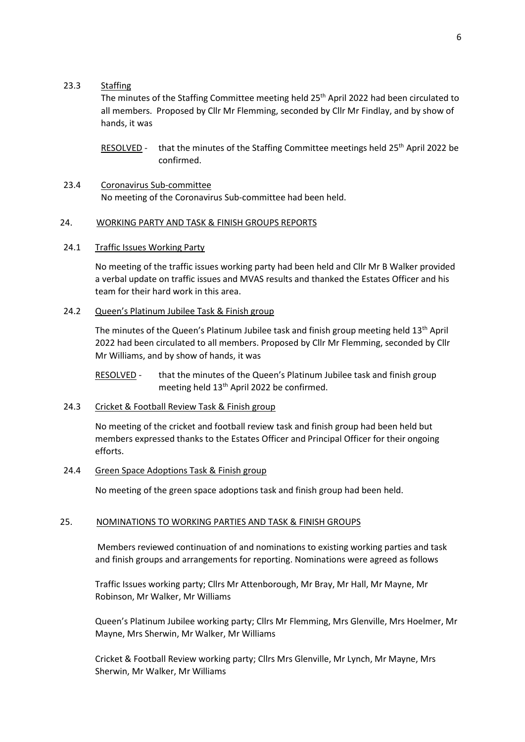#### 23.3 Staffing

The minutes of the Staffing Committee meeting held 25<sup>th</sup> April 2022 had been circulated to all members. Proposed by Cllr Mr Flemming, seconded by Cllr Mr Findlay, and by show of hands, it was

- RESOLVED that the minutes of the Staffing Committee meetings held  $25<sup>th</sup>$  April 2022 be confirmed.
- 23.4 Coronavirus Sub-committee No meeting of the Coronavirus Sub-committee had been held.

#### 24. WORKING PARTY AND TASK & FINISH GROUPS REPORTS

#### 24.1 Traffic Issues Working Party

No meeting of the traffic issues working party had been held and Cllr Mr B Walker provided a verbal update on traffic issues and MVAS results and thanked the Estates Officer and his team for their hard work in this area.

#### 24.2 Queen's Platinum Jubilee Task & Finish group

The minutes of the Queen's Platinum Jubilee task and finish group meeting held 13th April 2022 had been circulated to all members. Proposed by Cllr Mr Flemming, seconded by Cllr Mr Williams, and by show of hands, it was

RESOLVED - that the minutes of the Queen's Platinum Jubilee task and finish group meeting held 13<sup>th</sup> April 2022 be confirmed.

## 24.3 Cricket & Football Review Task & Finish group

No meeting of the cricket and football review task and finish group had been held but members expressed thanks to the Estates Officer and Principal Officer for their ongoing efforts.

## 24.4 Green Space Adoptions Task & Finish group

No meeting of the green space adoptions task and finish group had been held.

## 25. NOMINATIONS TO WORKING PARTIES AND TASK & FINISH GROUPS

Members reviewed continuation of and nominations to existing working parties and task and finish groups and arrangements for reporting. Nominations were agreed as follows

Traffic Issues working party; Cllrs Mr Attenborough, Mr Bray, Mr Hall, Mr Mayne, Mr Robinson, Mr Walker, Mr Williams

Queen's Platinum Jubilee working party; Cllrs Mr Flemming, Mrs Glenville, Mrs Hoelmer, Mr Mayne, Mrs Sherwin, Mr Walker, Mr Williams

Cricket & Football Review working party; Cllrs Mrs Glenville, Mr Lynch, Mr Mayne, Mrs Sherwin, Mr Walker, Mr Williams